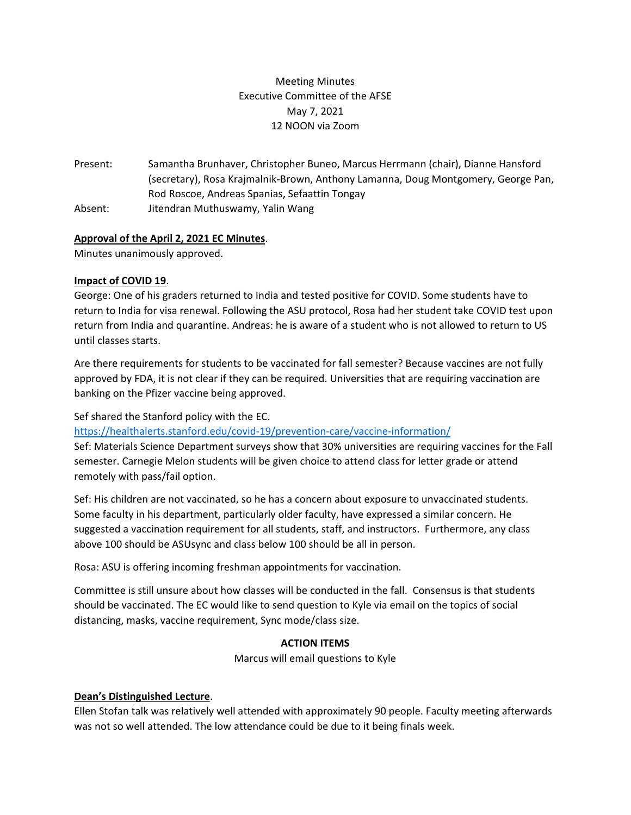# Meeting Minutes Executive Committee of the AFSE May 7, 2021 12 NOON via Zoom

Present: Samantha Brunhaver, Christopher Buneo, Marcus Herrmann (chair), Dianne Hansford (secretary), Rosa Krajmalnik-Brown, Anthony Lamanna, Doug Montgomery, George Pan, Rod Roscoe, Andreas Spanias, Sefaattin Tongay Absent: Jitendran Muthuswamy, Yalin Wang

## **Approval of the April 2, 2021 EC Minutes**.

Minutes unanimously approved.

## **Impact of COVID 19**.

George: One of his graders returned to India and tested positive for COVID. Some students have to return to India for visa renewal. Following the ASU protocol, Rosa had her student take COVID test upon return from India and quarantine. Andreas: he is aware of a student who is not allowed to return to US until classes starts.

Are there requirements for students to be vaccinated for fall semester? Because vaccines are not fully approved by FDA, it is not clear if they can be required. Universities that are requiring vaccination are banking on the Pfizer vaccine being approved.

Sef shared the Stanford policy with the EC.

<https://healthalerts.stanford.edu/covid-19/prevention-care/vaccine-information/>

Sef: Materials Science Department surveys show that 30% universities are requiring vaccines for the Fall semester. Carnegie Melon students will be given choice to attend class for letter grade or attend remotely with pass/fail option.

Sef: His children are not vaccinated, so he has a concern about exposure to unvaccinated students. Some faculty in his department, particularly older faculty, have expressed a similar concern. He suggested a vaccination requirement for all students, staff, and instructors. Furthermore, any class above 100 should be ASUsync and class below 100 should be all in person.

Rosa: ASU is offering incoming freshman appointments for vaccination.

Committee is still unsure about how classes will be conducted in the fall. Consensus is that students should be vaccinated. The EC would like to send question to Kyle via email on the topics of social distancing, masks, vaccine requirement, Sync mode/class size.

## **ACTION ITEMS**

Marcus will email questions to Kyle

## **Dean's Distinguished Lecture**.

Ellen Stofan talk was relatively well attended with approximately 90 people. Faculty meeting afterwards was not so well attended. The low attendance could be due to it being finals week.